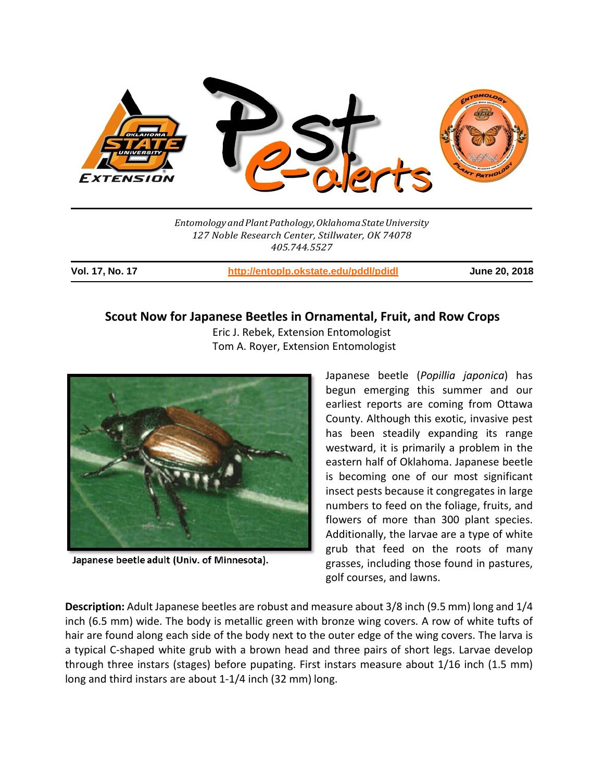

*EntomologyandPlantPathology,OklahomaStateUniversity 127 Noble Research Center, Stillwater, OK 74078 405.744.5527*

**Vol. 17, No. 17 http://entoplp.okstate.edu/pddl/pdidl June 20, 2018**

# **Scout Now for Japanese Beetles in Ornamental, Fruit, and Row Crops**

 Eric J. Rebek, Extension Entomologist Tom A. Royer, Extension Entomologist



Japanese beetle adult (Univ. of Minnesota).

Japanese beetle (*Popillia japonica*) has begun emerging this summer and our earliest reports are coming from Ottawa County. Although this exotic, invasive pest has been steadily expanding its range westward, it is primarily a problem in the eastern half of Oklahoma. Japanese beetle is becoming one of our most significant insect pests because it congregates in large numbers to feed on the foliage, fruits, and flowers of more than 300 plant species. Additionally, the larvae are a type of white grub that feed on the roots of many grasses, including those found in pastures, golf courses, and lawns.

**Description:** Adult Japanese beetles are robust and measure about 3/8 inch (9.5 mm) long and 1/4 inch (6.5 mm) wide. The body is metallic green with bronze wing covers. A row of white tufts of hair are found along each side of the body next to the outer edge of the wing covers. The larva is a typical C-shaped white grub with a brown head and three pairs of short legs. Larvae develop through three instars (stages) before pupating. First instars measure about 1/16 inch (1.5 mm) long and third instars are about 1‐1/4 inch (32 mm) long.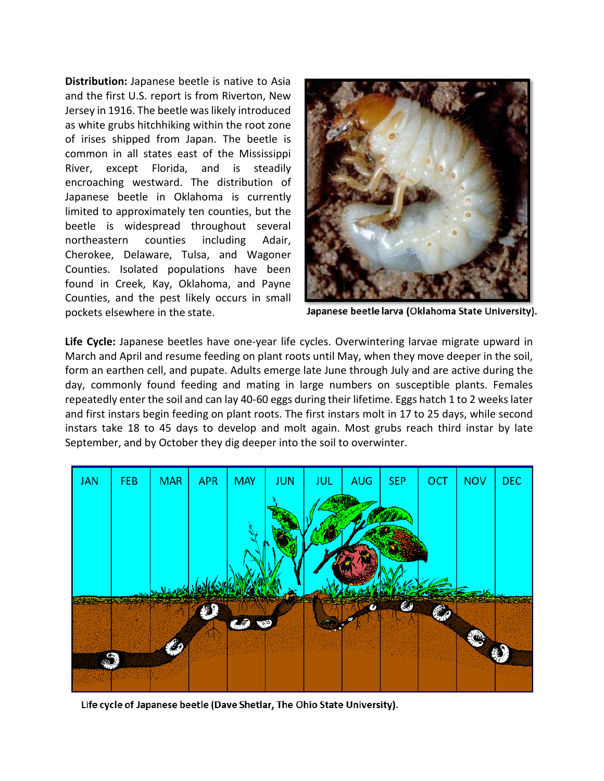**Distribution:** Japanese beetle is native to Asia and the first U.S. report is from Riverton, New Jersey in 1916. The beetle was likely introduced as white grubs hitchhiking within the root zone of irises shipped from Japan. The beetle is common in all states east of the Mississippi River, except Florida, and is steadily encroaching westward. The distribution of Japanese beetle in Oklahoma is currently limited to approximately ten counties, but the beetle is widespread throughout several northeastern counties including Adair, Cherokee, Delaware, Tulsa, and Wagoner Counties. Isolated populations have been found in Creek, Kay, Oklahoma, and Payne Counties, and the pest likely occurs in small pockets elsewhere in the state.



Japanese beetle larva (Oklahoma State University).

Life Cycle: Japanese beetles have one-year life cycles. Overwintering larvae migrate upward in March and April and resume feeding on plant roots until May, when they move deeper in the soil, form an earthen cell, and pupate. Adults emerge late June through July and are active during the day, commonly found feeding and mating in large numbers on susceptible plants. Females repeatedly enter the soil and can lay 40‐60 eggs during their lifetime. Eggs hatch 1 to 2 weeks later and first instars begin feeding on plant roots. The first instars molt in 17 to 25 days, while second instars take 18 to 45 days to develop and molt again. Most grubs reach third instar by late September, and by October they dig deeper into the soil to overwinter.



Life cycle of Japanese beetle (Dave Shetlar, The Ohio State University).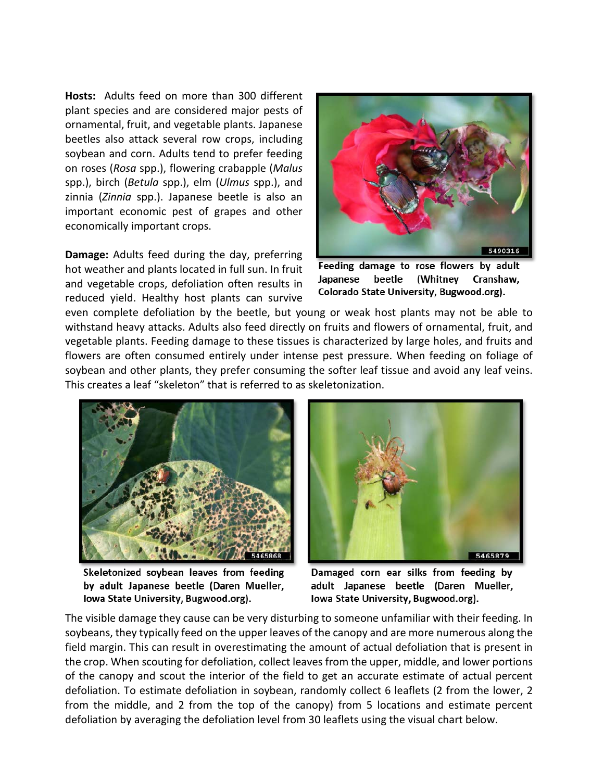**Hosts:** Adults feed on more than 300 different plant species and are considered major pests of ornamental, fruit, and vegetable plants. Japanese beetles also attack several row crops, including soybean and corn. Adults tend to prefer feeding on roses (*Rosa* spp.), flowering crabapple (*Malus*  spp.), birch (*Betula* spp.), elm (*Ulmus* spp.), and zinnia (*Zinnia* spp.). Japanese beetle is also an important economic pest of grapes and other economically important crops.

**Damage:** Adults feed during the day, preferring hot weather and plants located in full sun. In fruit and vegetable crops, defoliation often results in reduced yield. Healthy host plants can survive



Feeding damage to rose flowers by adult (Whitney Japanese beetle Cranshaw, Colorado State University, Bugwood.org).

even complete defoliation by the beetle, but young or weak host plants may not be able to withstand heavy attacks. Adults also feed directly on fruits and flowers of ornamental, fruit, and vegetable plants. Feeding damage to these tissues is characterized by large holes, and fruits and flowers are often consumed entirely under intense pest pressure. When feeding on foliage of soybean and other plants, they prefer consuming the softer leaf tissue and avoid any leaf veins. This creates a leaf "skeleton" that is referred to as skeletonization.



Skeletonized soybean leaves from feeding by adult Japanese beetle (Daren Mueller, Iowa State University, Bugwood.org).



Damaged corn ear silks from feeding by adult Japanese beetle (Daren Mueller, Iowa State University, Bugwood.org).

The visible damage they cause can be very disturbing to someone unfamiliar with their feeding. In soybeans, they typically feed on the upper leaves of the canopy and are more numerous along the field margin. This can result in overestimating the amount of actual defoliation that is present in the crop. When scouting for defoliation, collect leaves from the upper, middle, and lower portions of the canopy and scout the interior of the field to get an accurate estimate of actual percent defoliation. To estimate defoliation in soybean, randomly collect 6 leaflets (2 from the lower, 2 from the middle, and 2 from the top of the canopy) from 5 locations and estimate percent defoliation by averaging the defoliation level from 30 leaflets using the visual chart below.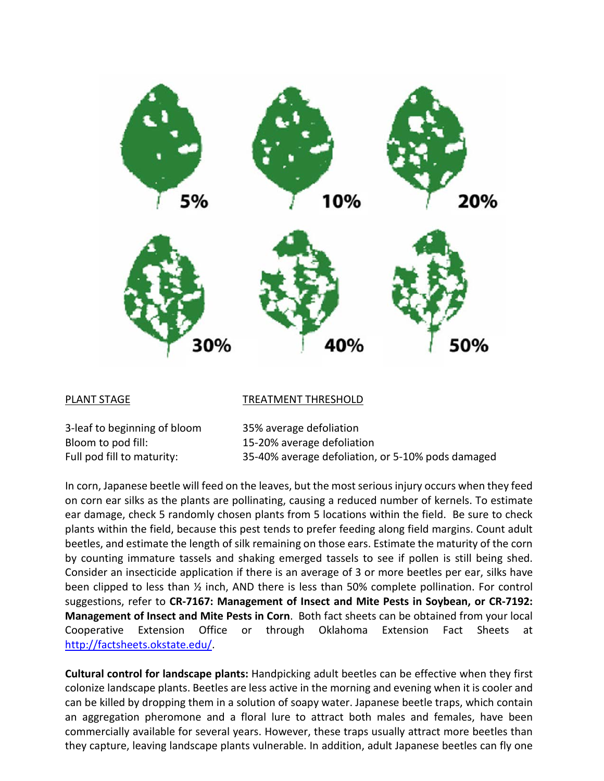

### PLANT STAGE TREATMENT THRESHOLD

3-leaf to beginning of bloom 35% average defoliation Bloom to pod fill: 15-20% average defoliation

Full pod fill to maturity: 35-40% average defoliation, or 5-10% pods damaged

In corn, Japanese beetle will feed on the leaves, but the mostserious injury occurs when they feed on corn ear silks as the plants are pollinating, causing a reduced number of kernels. To estimate ear damage, check 5 randomly chosen plants from 5 locations within the field. Be sure to check plants within the field, because this pest tends to prefer feeding along field margins. Count adult beetles, and estimate the length of silk remaining on those ears. Estimate the maturity of the corn by counting immature tassels and shaking emerged tassels to see if pollen is still being shed. Consider an insecticide application if there is an average of 3 or more beetles per ear, silks have been clipped to less than ½ inch, AND there is less than 50% complete pollination. For control suggestions, refer to **CR-7167: Management of Insect and Mite Pests in Soybean, or CR-7192: Management of Insect and Mite Pests in Corn**. Both fact sheets can be obtained from your local Cooperative Extension Office or through Oklahoma Extension Fact Sheets at [http://factsheets.okstate.edu/.](http://factsheets.okstate.edu/)

**Cultural control for landscape plants:** Handpicking adult beetles can be effective when they first colonize landscape plants. Beetles are less active in the morning and evening when it is cooler and can be killed by dropping them in a solution of soapy water. Japanese beetle traps, which contain an aggregation pheromone and a floral lure to attract both males and females, have been commercially available for several years. However, these traps usually attract more beetles than they capture, leaving landscape plants vulnerable. In addition, adult Japanese beetles can fly one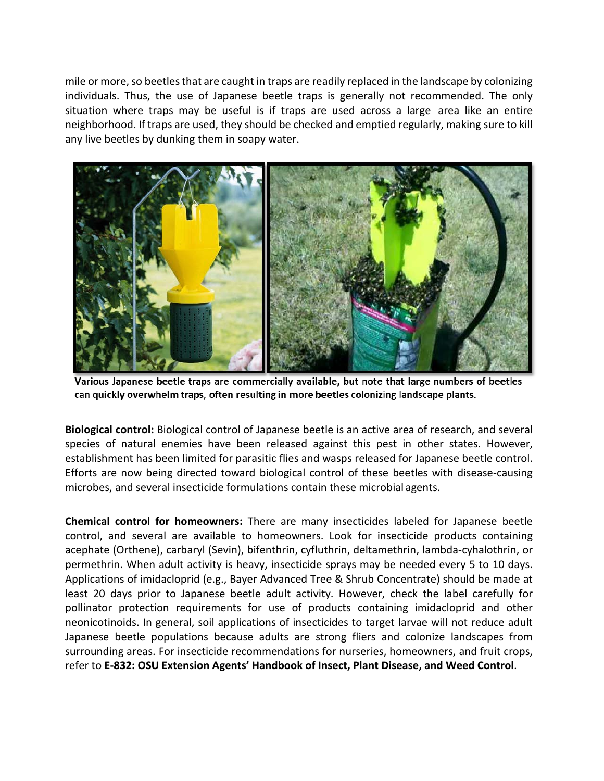mile or more, so beetles that are caught in traps are readily replaced in the landscape by colonizing individuals. Thus, the use of Japanese beetle traps is generally not recommended. The only situation where traps may be useful is if traps are used across a large area like an entire neighborhood. If traps are used, they should be checked and emptied regularly, making sure to kill any live beetles by dunking them in soapy water.



Various Japanese beetle traps are commercially available, but note that large numbers of beetles can quickly overwhelm traps, often resulting in more beetles colonizing landscape plants.

**Biological control:** Biological control of Japanese beetle is an active area of research, and several species of natural enemies have been released against this pest in other states. However, establishment has been limited for parasitic flies and wasps released for Japanese beetle control. Efforts are now being directed toward biological control of these beetles with disease-causing microbes, and several insecticide formulations contain these microbial agents.

**Chemical control for homeowners:** There are many insecticides labeled for Japanese beetle control, and several are available to homeowners. Look for insecticide products containing acephate (Orthene), carbaryl (Sevin), bifenthrin, cyfluthrin, deltamethrin, lambda‐cyhalothrin, or permethrin. When adult activity is heavy, insecticide sprays may be needed every 5 to 10 days. Applications of imidacloprid (e.g., Bayer Advanced Tree & Shrub Concentrate) should be made at least 20 days prior to Japanese beetle adult activity. However, check the label carefully for pollinator protection requirements for use of products containing imidacloprid and other neonicotinoids. In general, soil applications of insecticides to target larvae will not reduce adult Japanese beetle populations because adults are strong fliers and colonize landscapes from surrounding areas. For insecticide recommendations for nurseries, homeowners, and fruit crops, refer to **E-832: OSU Extension Agents' Handbook of Insect, Plant Disease, and Weed Control**.